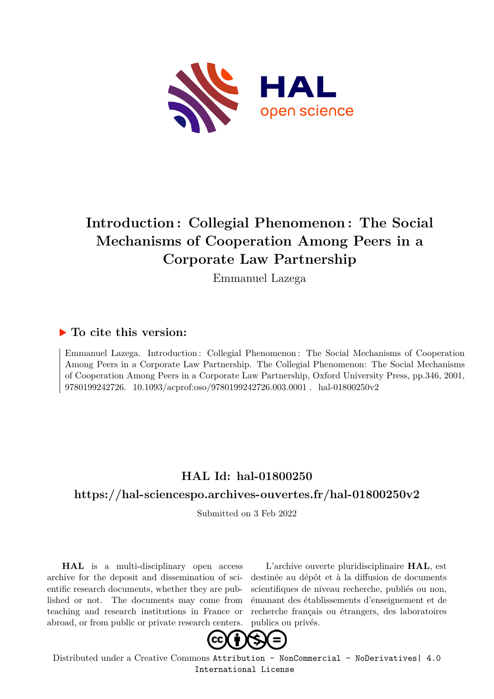

# **Introduction : Collegial Phenomenon : The Social Mechanisms of Cooperation Among Peers in a Corporate Law Partnership**

Emmanuel Lazega

### **To cite this version:**

Emmanuel Lazega. Introduction : Collegial Phenomenon : The Social Mechanisms of Cooperation Among Peers in a Corporate Law Partnership. The Collegial Phenomenon: The Social Mechanisms of Cooperation Among Peers in a Corporate Law Partnership, Oxford University Press, pp.346, 2001, 9780199242726. 10.1093/acprof:oso/9780199242726.003.0001. hal-01800250v2

## **HAL Id: hal-01800250**

### **<https://hal-sciencespo.archives-ouvertes.fr/hal-01800250v2>**

Submitted on 3 Feb 2022

**HAL** is a multi-disciplinary open access archive for the deposit and dissemination of scientific research documents, whether they are published or not. The documents may come from teaching and research institutions in France or abroad, or from public or private research centers.

L'archive ouverte pluridisciplinaire **HAL**, est destinée au dépôt et à la diffusion de documents scientifiques de niveau recherche, publiés ou non, émanant des établissements d'enseignement et de recherche français ou étrangers, des laboratoires publics ou privés.



Distributed under a Creative Commons [Attribution - NonCommercial - NoDerivatives| 4.0](http://creativecommons.org/licenses/by-nc-nd/4.0/) [International License](http://creativecommons.org/licenses/by-nc-nd/4.0/)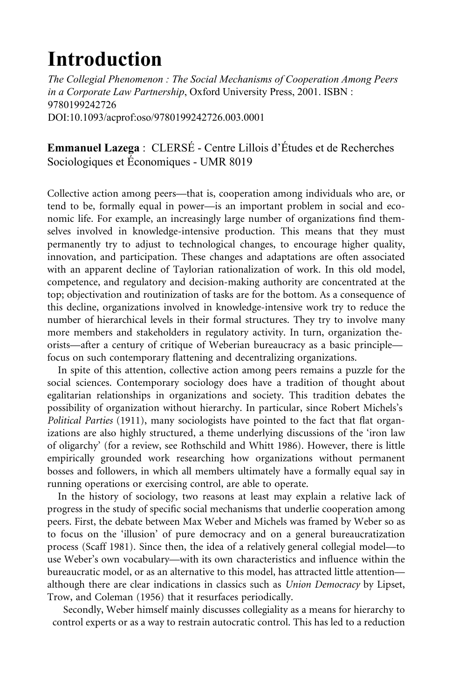# **Introduction**

*The Collegial Phenomenon : The Social Mechanisms of Cooperation Among Peers in a Corporate Law Partnership*, Oxford University Press, 2001. ISBN : 9780199242726 DOI:10.1093/acprof:oso/9780199242726.003.0001

**Emmanuel Lazega** : CLERSÉ - Centre Lillois d'Études et de Recherches Sociologiques et Économiques - UMR 8019

Collective action among peers—that is, cooperation among individuals who are, or tend to be, formally equal in power—is an important problem in social and economic life. For example, an increasingly large number of organizations find themselves involved in knowledge-intensive production. This means that they must permanently try to adjust to technological changes, to encourage higher quality, innovation, and participation. These changes and adaptations are often associated with an apparent decline of Taylorian rationalization of work. In this old model, competence, and regulatory and decision-making authority are concentrated at the top; objectivation and routinization of tasks are for the bottom. As a consequence of this decline, organizations involved in knowledge-intensive work try to reduce the number of hierarchical levels in their formal structures. They try to involve many more members and stakeholders in regulatory activity. In turn, organization theorists—after a century of critique of Weberian bureaucracy as a basic principle focus on such contemporary flattening and decentralizing organizations.

In spite of this attention, collective action among peers remains a puzzle for the social sciences. Contemporary sociology does have a tradition of thought about egalitarian relationships in organizations and society. This tradition debates the possibility of organization without hierarchy. In particular, since Robert Michels's Political Parties (1911), many sociologists have pointed to the fact that flat organizations are also highly structured, a theme underlying discussions of the `iron law of oligarchy' (for a review, see Rothschild and Whitt 1986). However, there is little empirically grounded work researching how organizations without permanent bosses and followers, in which all members ultimately have a formally equal say in running operations or exercising control, are able to operate.

In the history of sociology, two reasons at least may explain a relative lack of progress in the study of specific social mechanisms that underlie cooperation among peers. First, the debate between Max Weber and Michels was framed by Weber so as to focus on the `illusion' of pure democracy and on a general bureaucratization process (Scaff 1981). Since then, the idea of a relatively general collegial model—to use Weber's own vocabulary—with its own characteristics and influence within the bureaucratic model, or as an alternative to this model, has attracted little attention although there are clear indications in classics such as Union Democracy by Lipset, Trow, and Coleman (1956) that it resurfaces periodically.

Secondly, Weber himself mainly discusses collegiality as a means for hierarchy to control experts or as a way to restrain autocratic control. This has led to a reduction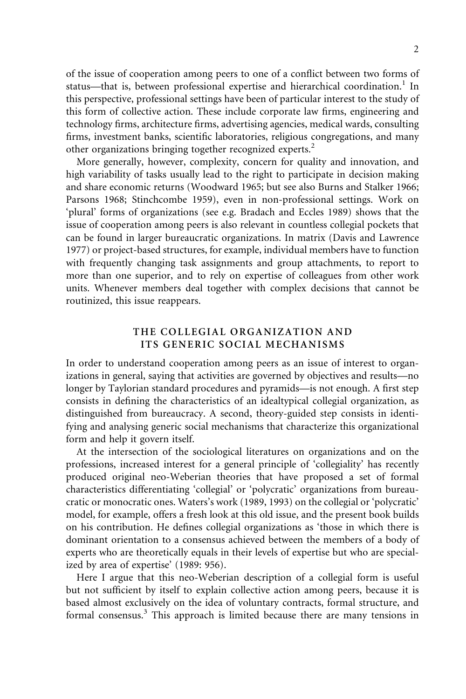of the issue of cooperation among peers to one of a conflict between two forms of status—that is, between professional expertise and hierarchical coordination.<sup>1</sup> In this perspective, professional settings have been of particular interest to the study of this form of collective action. These include corporate law firms, engineering and technology firms, architecture firms, advertising agencies, medical wards, consulting firms, investment banks, scientific laboratories, religious congregations, and many other organizations bringing together recognized experts.<sup>2</sup>

More generally, however, complexity, concern for quality and innovation, and high variability of tasks usually lead to the right to participate in decision making and share economic returns (Woodward 1965; but see also Burns and Stalker 1966; Parsons 1968; Stinchcombe 1959), even in non-professional settings. Work on `plural' forms of organizations (see e.g. Bradach and Eccles 1989) shows that the issue of cooperation among peers is also relevant in countless collegial pockets that can be found in larger bureaucratic organizations. In matrix (Davis and Lawrence 1977) or project-based structures, for example, individual members have to function with frequently changing task assignments and group attachments, to report to more than one superior, and to rely on expertise of colleagues from other work units. Whenever members deal together with complex decisions that cannot be routinized, this issue reappears.

#### THE COLLEGIAL ORGANIZATION AND ITS GENERIC SOCIAL MECHANISMS

In order to understand cooperation among peers as an issue of interest to organizations in general, saying that activities are governed by objectives and results—no longer by Taylorian standard procedures and pyramids—is not enough. A first step consists in defining the characteristics of an idealtypical collegial organization, as distinguished from bureaucracy. A second, theory-guided step consists in identifying and analysing generic social mechanisms that characterize this organizational form and help it govern itself.

At the intersection of the sociological literatures on organizations and on the professions, increased interest for a general principle of `collegiality' has recently produced original neo-Weberian theories that have proposed a set of formal characteristics differentiating `collegial' or `polycratic' organizations from bureaucratic or monocratic ones. Waters's work (1989, 1993) on the collegial or `polycratic' model, for example, offers a fresh look at this old issue, and the present book builds on his contribution. He defines collegial organizations as 'those in which there is dominant orientation to a consensus achieved between the members of a body of experts who are theoretically equals in their levels of expertise but who are specialized by area of expertise' (1989: 956).

Here I argue that this neo-Weberian description of a collegial form is useful but not sufficient by itself to explain collective action among peers, because it is based almost exclusively on the idea of voluntary contracts, formal structure, and formal consensus.<sup>3</sup> This approach is limited because there are many tensions in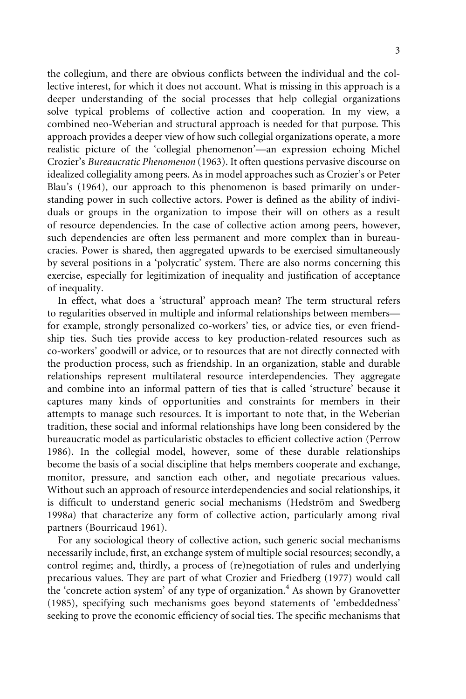the collegium, and there are obvious conflicts between the individual and the collective interest, for which it does not account. What is missing in this approach is a deeper understanding of the social processes that help collegial organizations solve typical problems of collective action and cooperation. In my view, a combined neo-Weberian and structural approach is needed for that purpose. This approach provides a deeper view of how such collegial organizations operate, a more realistic picture of the 'collegial phenomenon'—an expression echoing Michel Crozier's Bureaucratic Phenomenon (1963). It often questions pervasive discourse on idealized collegiality among peers. As in model approaches such as Crozier's or Peter Blau's (1964), our approach to this phenomenon is based primarily on understanding power in such collective actors. Power is defined as the ability of individuals or groups in the organization to impose their will on others as a result of resource dependencies. In the case of collective action among peers, however, such dependencies are often less permanent and more complex than in bureaucracies. Power is shared, then aggregated upwards to be exercised simultaneously by several positions in a `polycratic' system. There are also norms concerning this exercise, especially for legitimization of inequality and justification of acceptance of inequality.

In effect, what does a 'structural' approach mean? The term structural refers to regularities observed in multiple and informal relationships between members for example, strongly personalized co-workers' ties, or advice ties, or even friendship ties. Such ties provide access to key production-related resources such as co-workers' goodwill or advice, or to resources that are not directly connected with the production process, such as friendship. In an organization, stable and durable relationships represent multilateral resource interdependencies. They aggregate and combine into an informal pattern of ties that is called `structure' because it captures many kinds of opportunities and constraints for members in their attempts to manage such resources. It is important to note that, in the Weberian tradition, these social and informal relationships have long been considered by the bureaucratic model as particularistic obstacles to efficient collective action (Perrow 1986). In the collegial model, however, some of these durable relationships become the basis of a social discipline that helps members cooperate and exchange, monitor, pressure, and sanction each other, and negotiate precarious values. Without such an approach of resource interdependencies and social relationships, it is difficult to understand generic social mechanisms (Hedström and Swedberg 1998a) that characterize any form of collective action, particularly among rival partners (Bourricaud 1961).

For any sociological theory of collective action, such generic social mechanisms necessarily include, first, an exchange system of multiple social resources; secondly, a control regime; and, thirdly, a process of (re)negotiation of rules and underlying precarious values. They are part of what Crozier and Friedberg (1977) would call the 'concrete action system' of any type of organization.<sup>4</sup> As shown by Granovetter (1985), specifying such mechanisms goes beyond statements of `embeddedness' seeking to prove the economic efficiency of social ties. The specific mechanisms that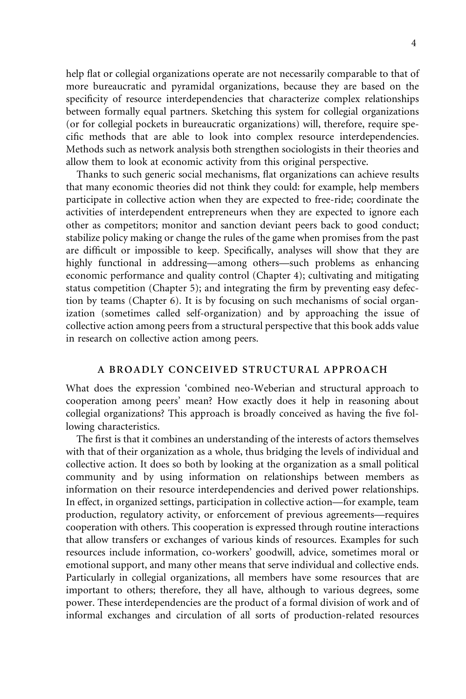help flat or collegial organizations operate are not necessarily comparable to that of more bureaucratic and pyramidal organizations, because they are based on the specificity of resource interdependencies that characterize complex relationships between formally equal partners. Sketching this system for collegial organizations (or for collegial pockets in bureaucratic organizations) will, therefore, require specific methods that are able to look into complex resource interdependencies. Methods such as network analysis both strengthen sociologists in their theories and allow them to look at economic activity from this original perspective.

Thanks to such generic social mechanisms, flat organizations can achieve results that many economic theories did not think they could: for example, help members participate in collective action when they are expected to free-ride; coordinate the activities of interdependent entrepreneurs when they are expected to ignore each other as competitors; monitor and sanction deviant peers back to good conduct; stabilize policy making or change the rules of the game when promises from the past are difficult or impossible to keep. Specifically, analyses will show that they are highly functional in addressing—among others—such problems as enhancing economic performance and quality control (Chapter 4); cultivating and mitigating status competition (Chapter 5); and integrating the firm by preventing easy defection by teams (Chapter 6). It is by focusing on such mechanisms of social organization (sometimes called self-organization) and by approaching the issue of collective action among peers from a structural perspective that this book adds value in research on collective action among peers.

### A BROADLY CONCEIVED STRUCTURAL APPROACH

What does the expression `combined neo-Weberian and structural approach to cooperation among peers' mean? How exactly does it help in reasoning about collegial organizations? This approach is broadly conceived as having the five following characteristics.

The first is that it combines an understanding of the interests of actors themselves with that of their organization as a whole, thus bridging the levels of individual and collective action. It does so both by looking at the organization as a small political community and by using information on relationships between members as information on their resource interdependencies and derived power relationships. In effect, in organized settings, participation in collective action—for example, team production, regulatory activity, or enforcement of previous agreements—requires cooperation with others. This cooperation is expressed through routine interactions that allow transfers or exchanges of various kinds of resources. Examples for such resources include information, co-workers' goodwill, advice, sometimes moral or emotional support, and many other means that serve individual and collective ends. Particularly in collegial organizations, all members have some resources that are important to others; therefore, they all have, although to various degrees, some power. These interdependencies are the product of a formal division of work and of informal exchanges and circulation of all sorts of production-related resources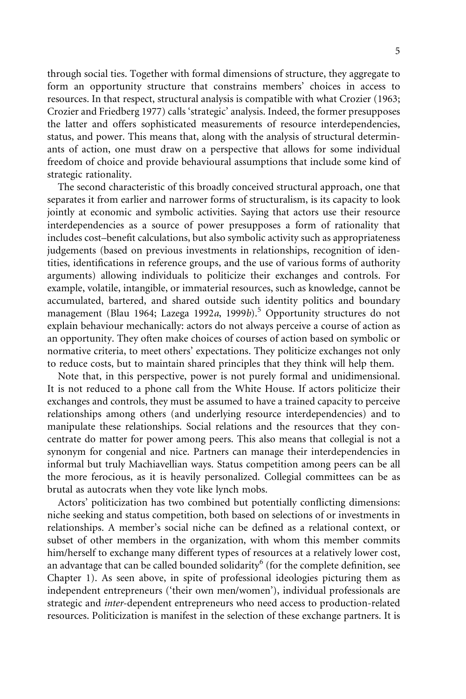through social ties. Together with formal dimensions of structure, they aggregate to form an opportunity structure that constrains members' choices in access to resources. In that respect, structural analysis is compatible with what Crozier (1963; Crozier and Friedberg 1977) calls `strategic' analysis. Indeed, the former presupposes the latter and offers sophisticated measurements of resource interdependencies, status, and power. This means that, along with the analysis of structural determinants of action, one must draw on a perspective that allows for some individual freedom of choice and provide behavioural assumptions that include some kind of strategic rationality.

The second characteristic of this broadly conceived structural approach, one that separates it from earlier and narrower forms of structuralism, is its capacity to look jointly at economic and symbolic activities. Saying that actors use their resource interdependencies as a source of power presupposes a form of rationality that includes cost-benefit calculations, but also symbolic activity such as appropriateness judgements (based on previous investments in relationships, recognition of identities, identifications in reference groups, and the use of various forms of authority arguments) allowing individuals to politicize their exchanges and controls. For example, volatile, intangible, or immaterial resources, such as knowledge, cannot be accumulated, bartered, and shared outside such identity politics and boundary management (Blau 1964; Lazega 1992a, 1999b).<sup>5</sup> Opportunity structures do not explain behaviour mechanically: actors do not always perceive a course of action as an opportunity. They often make choices of courses of action based on symbolic or normative criteria, to meet others' expectations. They politicize exchanges not only to reduce costs, but to maintain shared principles that they think will help them.

Note that, in this perspective, power is not purely formal and unidimensional. It is not reduced to a phone call from the White House. If actors politicize their exchanges and controls, they must be assumed to have a trained capacity to perceive relationships among others (and underlying resource interdependencies) and to manipulate these relationships. Social relations and the resources that they concentrate do matter for power among peers. This also means that collegial is not a synonym for congenial and nice. Partners can manage their interdependencies in informal but truly Machiavellian ways. Status competition among peers can be all the more ferocious, as it is heavily personalized. Collegial committees can be as brutal as autocrats when they vote like lynch mobs.

Actors' politicization has two combined but potentially conflicting dimensions: niche seeking and status competition, both based on selections of or investments in relationships. A member's social niche can be defined as a relational context, or subset of other members in the organization, with whom this member commits him/herself to exchange many different types of resources at a relatively lower cost, an advantage that can be called bounded solidarity<sup>6</sup> (for the complete definition, see Chapter 1). As seen above, in spite of professional ideologies picturing them as independent entrepreneurs (`their own men/women'), individual professionals are strategic and inter-dependent entrepreneurs who need access to production-related resources. Politicization is manifest in the selection of these exchange partners. It is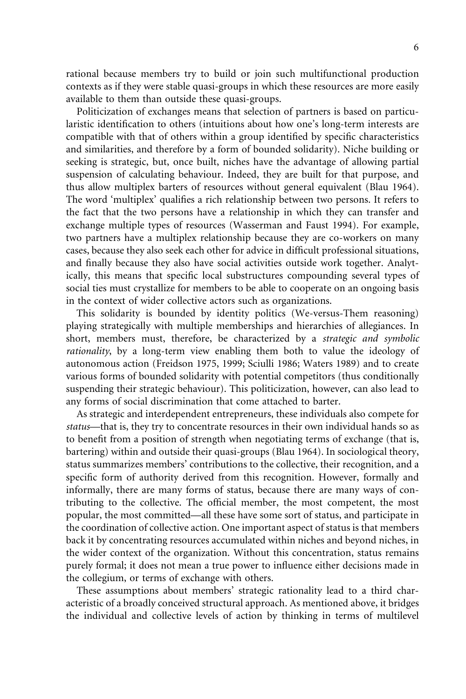rational because members try to build or join such multifunctional production contexts as if they were stable quasi-groups in which these resources are more easily available to them than outside these quasi-groups.

Politicization of exchanges means that selection of partners is based on particularistic identification to others (intuitions about how one's long-term interests are compatible with that of others within a group identified by specific characteristics and similarities, and therefore by a form of bounded solidarity). Niche building or seeking is strategic, but, once built, niches have the advantage of allowing partial suspension of calculating behaviour. Indeed, they are built for that purpose, and thus allow multiplex barters of resources without general equivalent (Blau 1964). The word 'multiplex' qualifies a rich relationship between two persons. It refers to the fact that the two persons have a relationship in which they can transfer and exchange multiple types of resources (Wasserman and Faust 1994). For example, two partners have a multiplex relationship because they are co-workers on many cases, because they also seek each other for advice in difficult professional situations, and finally because they also have social activities outside work together. Analytically, this means that specific local substructures compounding several types of social ties must crystallize for members to be able to cooperate on an ongoing basis in the context of wider collective actors such as organizations.

This solidarity is bounded by identity politics (We-versus-Them reasoning) playing strategically with multiple memberships and hierarchies of allegiances. In short, members must, therefore, be characterized by a strategic and symbolic rationality, by a long-term view enabling them both to value the ideology of autonomous action (Freidson 1975, 1999; Sciulli 1986; Waters 1989) and to create various forms of bounded solidarity with potential competitors (thus conditionally suspending their strategic behaviour). This politicization, however, can also lead to any forms of social discrimination that come attached to barter.

As strategic and interdependent entrepreneurs, these individuals also compete for status—that is, they try to concentrate resources in their own individual hands so as to benefit from a position of strength when negotiating terms of exchange (that is, bartering) within and outside their quasi-groups (Blau 1964). In sociological theory, status summarizes members' contributions to the collective, their recognition, and a specific form of authority derived from this recognition. However, formally and informally, there are many forms of status, because there are many ways of contributing to the collective. The official member, the most competent, the most popular, the most committed—all these have some sort of status, and participate in the coordination of collective action. One important aspect of status is that members back it by concentrating resources accumulated within niches and beyond niches, in the wider context of the organization. Without this concentration, status remains purely formal; it does not mean a true power to influence either decisions made in the collegium, or terms of exchange with others.

These assumptions about members' strategic rationality lead to a third characteristic of a broadly conceived structural approach. As mentioned above, it bridges the individual and collective levels of action by thinking in terms of multilevel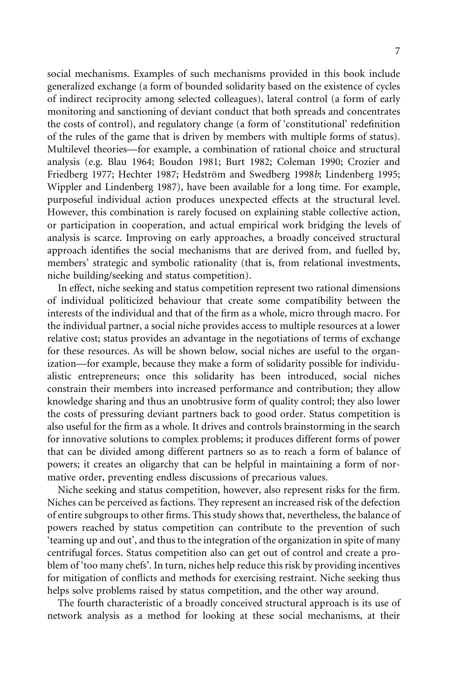social mechanisms. Examples of such mechanisms provided in this book include generalized exchange (a form of bounded solidarity based on the existence of cycles of indirect reciprocity among selected colleagues), lateral control (a form of early monitoring and sanctioning of deviant conduct that both spreads and concentrates the costs of control), and regulatory change (a form of 'constitutional' redefinition of the rules of the game that is driven by members with multiple forms of status). Multilevel theories—for example, a combination of rational choice and structural analysis (e.g. Blau 1964; Boudon 1981; Burt 1982; Coleman 1990; Crozier and Friedberg 1977; Hechter 1987; Hedström and Swedberg 1998b; Lindenberg 1995; Wippler and Lindenberg 1987), have been available for a long time. For example, purposeful individual action produces unexpected effects at the structural level. However, this combination is rarely focused on explaining stable collective action, or participation in cooperation, and actual empirical work bridging the levels of analysis is scarce. Improving on early approaches, a broadly conceived structural approach identifies the social mechanisms that are derived from, and fuelled by, members' strategic and symbolic rationality (that is, from relational investments, niche building/seeking and status competition).

In effect, niche seeking and status competition represent two rational dimensions of individual politicized behaviour that create some compatibility between the interests of the individual and that of the firm as a whole, micro through macro. For the individual partner, a social niche provides access to multiple resources at a lower relative cost; status provides an advantage in the negotiations of terms of exchange for these resources. As will be shown below, social niches are useful to the organization—for example, because they make a form of solidarity possible for individualistic entrepreneurs; once this solidarity has been introduced, social niches constrain their members into increased performance and contribution; they allow knowledge sharing and thus an unobtrusive form of quality control; they also lower the costs of pressuring deviant partners back to good order. Status competition is also useful for the firm as a whole. It drives and controls brainstorming in the search for innovative solutions to complex problems; it produces different forms of power that can be divided among different partners so as to reach a form of balance of powers; it creates an oligarchy that can be helpful in maintaining a form of normative order, preventing endless discussions of precarious values.

Niche seeking and status competition, however, also represent risks for the firm. Niches can be perceived as factions. They represent an increased risk of the defection of entire subgroups to other firms. This study shows that, nevertheless, the balance of powers reached by status competition can contribute to the prevention of such `teaming up and out', and thus to the integration of the organization in spite of many centrifugal forces. Status competition also can get out of control and create a problem of 'too many chefs'. In turn, niches help reduce this risk by providing incentives for mitigation of conflicts and methods for exercising restraint. Niche seeking thus helps solve problems raised by status competition, and the other way around.

The fourth characteristic of a broadly conceived structural approach is its use of network analysis as a method for looking at these social mechanisms, at their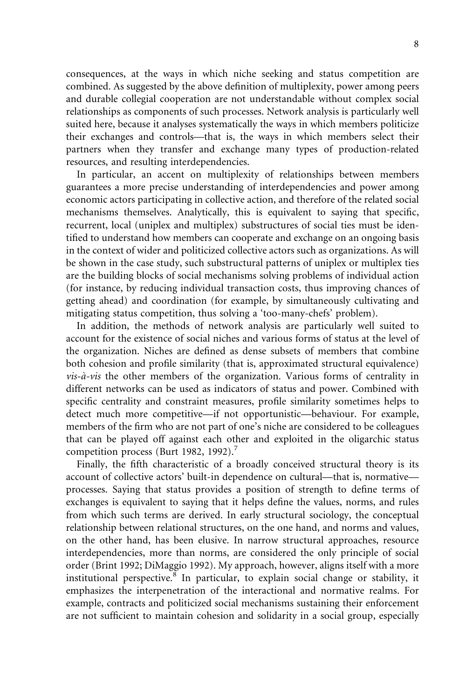consequences, at the ways in which niche seeking and status competition are combined. As suggested by the above definition of multiplexity, power among peers and durable collegial cooperation are not understandable without complex social relationships as components of such processes. Network analysis is particularly well suited here, because it analyses systematically the ways in which members politicize their exchanges and controls—that is, the ways in which members select their partners when they transfer and exchange many types of production-related resources, and resulting interdependencies.

In particular, an accent on multiplexity of relationships between members guarantees a more precise understanding of interdependencies and power among economic actors participating in collective action, and therefore of the related social mechanisms themselves. Analytically, this is equivalent to saying that specific, recurrent, local (uniplex and multiplex) substructures of social ties must be identified to understand how members can cooperate and exchange on an ongoing basis in the context of wider and politicized collective actors such as organizations. As will be shown in the case study, such substructural patterns of uniplex or multiplex ties are the building blocks of social mechanisms solving problems of individual action (for instance, by reducing individual transaction costs, thus improving chances of getting ahead) and coordination (for example, by simultaneously cultivating and mitigating status competition, thus solving a 'too-many-chefs' problem).

In addition, the methods of network analysis are particularly well suited to account for the existence of social niches and various forms of status at the level of the organization. Niches are defined as dense subsets of members that combine both cohesion and profile similarity (that is, approximated structural equivalence)  $vis-\hat{a}-vis$  the other members of the organization. Various forms of centrality in different networks can be used as indicators of status and power. Combined with specific centrality and constraint measures, profile similarity sometimes helps to detect much more competitive—if not opportunistic—behaviour. For example, members of the firm who are not part of one's niche are considered to be colleagues that can be played off against each other and exploited in the oligarchic status competition process (Burt 1982, 1992).<sup>7</sup>

Finally, the fifth characteristic of a broadly conceived structural theory is its account of collective actors' built-in dependence on cultural—that is, normative processes. Saying that status provides a position of strength to define terms of exchanges is equivalent to saying that it helps define the values, norms, and rules from which such terms are derived. In early structural sociology, the conceptual relationship between relational structures, on the one hand, and norms and values, on the other hand, has been elusive. In narrow structural approaches, resource interdependencies, more than norms, are considered the only principle of social order (Brint 1992; DiMaggio 1992). My approach, however, aligns itself with a more institutional perspective.<sup>8</sup> In particular, to explain social change or stability, it emphasizes the interpenetration of the interactional and normative realms. For example, contracts and politicized social mechanisms sustaining their enforcement are not sufficient to maintain cohesion and solidarity in a social group, especially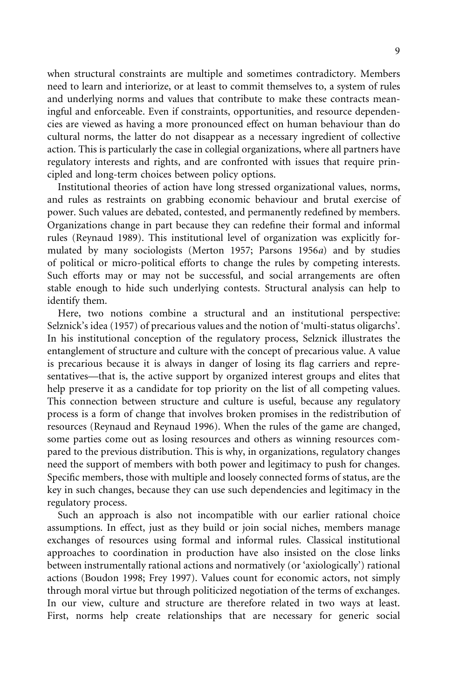when structural constraints are multiple and sometimes contradictory. Members need to learn and interiorize, or at least to commit themselves to, a system of rules and underlying norms and values that contribute to make these contracts meaningful and enforceable. Even if constraints, opportunities, and resource dependencies are viewed as having a more pronounced effect on human behaviour than do cultural norms, the latter do not disappear as a necessary ingredient of collective action. This is particularly the case in collegial organizations, where all partners have regulatory interests and rights, and are confronted with issues that require principled and long-term choices between policy options.

Institutional theories of action have long stressed organizational values, norms, and rules as restraints on grabbing economic behaviour and brutal exercise of power. Such values are debated, contested, and permanently redefined by members. Organizations change in part because they can redefine their formal and informal rules (Reynaud 1989). This institutional level of organization was explicitly formulated by many sociologists (Merton 1957; Parsons 1956a) and by studies of political or micro-political efforts to change the rules by competing interests. Such efforts may or may not be successful, and social arrangements are often stable enough to hide such underlying contests. Structural analysis can help to identify them.

Here, two notions combine a structural and an institutional perspective: Selznick's idea (1957) of precarious values and the notion of `multi-status oligarchs'. In his institutional conception of the regulatory process, Selznick illustrates the entanglement of structure and culture with the concept of precarious value. A value is precarious because it is always in danger of losing its flag carriers and representatives—that is, the active support by organized interest groups and elites that help preserve it as a candidate for top priority on the list of all competing values. This connection between structure and culture is useful, because any regulatory process is a form of change that involves broken promises in the redistribution of resources (Reynaud and Reynaud 1996). When the rules of the game are changed, some parties come out as losing resources and others as winning resources compared to the previous distribution. This is why, in organizations, regulatory changes need the support of members with both power and legitimacy to push for changes. Specific members, those with multiple and loosely connected forms of status, are the key in such changes, because they can use such dependencies and legitimacy in the regulatory process.

Such an approach is also not incompatible with our earlier rational choice assumptions. In effect, just as they build or join social niches, members manage exchanges of resources using formal and informal rules. Classical institutional approaches to coordination in production have also insisted on the close links between instrumentally rational actions and normatively (or `axiologically') rational actions (Boudon 1998; Frey 1997). Values count for economic actors, not simply through moral virtue but through politicized negotiation of the terms of exchanges. In our view, culture and structure are therefore related in two ways at least. First, norms help create relationships that are necessary for generic social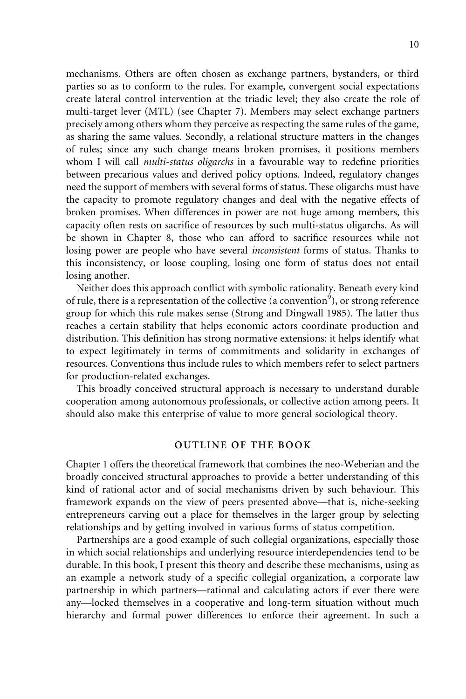mechanisms. Others are often chosen as exchange partners, bystanders, or third parties so as to conform to the rules. For example, convergent social expectations create lateral control intervention at the triadic level; they also create the role of multi-target lever (MTL) (see Chapter 7). Members may select exchange partners precisely among others whom they perceive as respecting the same rules of the game, as sharing the same values. Secondly, a relational structure matters in the changes of rules; since any such change means broken promises, it positions members whom I will call *multi-status oligarchs* in a favourable way to redefine priorities between precarious values and derived policy options. Indeed, regulatory changes need the support of members with several forms of status. These oligarchs must have the capacity to promote regulatory changes and deal with the negative effects of broken promises. When differences in power are not huge among members, this capacity often rests on sacrifice of resources by such multi-status oligarchs. As will be shown in Chapter 8, those who can afford to sacrifice resources while not losing power are people who have several inconsistent forms of status. Thanks to this inconsistency, or loose coupling, losing one form of status does not entail losing another.

Neither does this approach conflict with symbolic rationality. Beneath every kind of rule, there is a representation of the collective (a convention<sup>9</sup>), or strong reference group for which this rule makes sense (Strong and Dingwall 1985). The latter thus reaches a certain stability that helps economic actors coordinate production and distribution. This definition has strong normative extensions: it helps identify what to expect legitimately in terms of commitments and solidarity in exchanges of resources. Conventions thus include rules to which members refer to select partners for production-related exchanges.

This broadly conceived structural approach is necessary to understand durable cooperation among autonomous professionals, or collective action among peers. It should also make this enterprise of value to more general sociological theory.

#### **OUTLINE OF THE BOOK**

Chapter 1 offers the theoretical framework that combines the neo-Weberian and the broadly conceived structural approaches to provide a better understanding of this kind of rational actor and of social mechanisms driven by such behaviour. This framework expands on the view of peers presented above—that is, niche-seeking entrepreneurs carving out a place for themselves in the larger group by selecting relationships and by getting involved in various forms of status competition.

Partnerships are a good example of such collegial organizations, especially those in which social relationships and underlying resource interdependencies tend to be durable. In this book, I present this theory and describe these mechanisms, using as an example a network study of a specific collegial organization, a corporate law partnership in which partners—rational and calculating actors if ever there were any-locked themselves in a cooperative and long-term situation without much hierarchy and formal power differences to enforce their agreement. In such a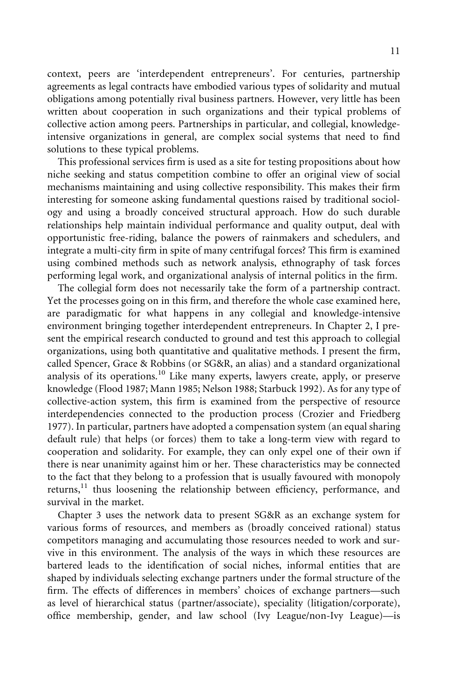context, peers are `interdependent entrepreneurs'. For centuries, partnership agreements as legal contracts have embodied various types of solidarity and mutual obligations among potentially rival business partners. However, very little has been written about cooperation in such organizations and their typical problems of collective action among peers. Partnerships in particular, and collegial, knowledgeintensive organizations in general, are complex social systems that need to find solutions to these typical problems.

This professional services firm is used as a site for testing propositions about how niche seeking and status competition combine to offer an original view of social mechanisms maintaining and using collective responsibility. This makes their firm interesting for someone asking fundamental questions raised by traditional sociology and using a broadly conceived structural approach. How do such durable relationships help maintain individual performance and quality output, deal with opportunistic free-riding, balance the powers of rainmakers and schedulers, and integrate a multi-city firm in spite of many centrifugal forces? This firm is examined using combined methods such as network analysis, ethnography of task forces performing legal work, and organizational analysis of internal politics in the firm.

The collegial form does not necessarily take the form of a partnership contract. Yet the processes going on in this firm, and therefore the whole case examined here, are paradigmatic for what happens in any collegial and knowledge-intensive environment bringing together interdependent entrepreneurs. In Chapter 2, I present the empirical research conducted to ground and test this approach to collegial organizations, using both quantitative and qualitative methods. I present the firm, called Spencer, Grace & Robbins (or SG&R, an alias) and a standard organizational analysis of its operations.<sup>10</sup> Like many experts, lawyers create, apply, or preserve knowledge (Flood 1987; Mann 1985; Nelson 1988; Starbuck 1992). As for any type of collective-action system, this firm is examined from the perspective of resource interdependencies connected to the production process (Crozier and Friedberg 1977). In particular, partners have adopted a compensation system (an equal sharing default rule) that helps (or forces) them to take a long-term view with regard to cooperation and solidarity. For example, they can only expel one of their own if there is near unanimity against him or her. These characteristics may be connected to the fact that they belong to a profession that is usually favoured with monopoly returns,<sup>11</sup> thus loosening the relationship between efficiency, performance, and survival in the market.

Chapter 3 uses the network data to present SG&R as an exchange system for various forms of resources, and members as (broadly conceived rational) status competitors managing and accumulating those resources needed to work and survive in this environment. The analysis of the ways in which these resources are bartered leads to the identification of social niches, informal entities that are shaped by individuals selecting exchange partners under the formal structure of the firm. The effects of differences in members' choices of exchange partners—such as level of hierarchical status (partner/associate), speciality (litigation/corporate), office membership, gender, and law school (Ivy League/non-Ivy League)-is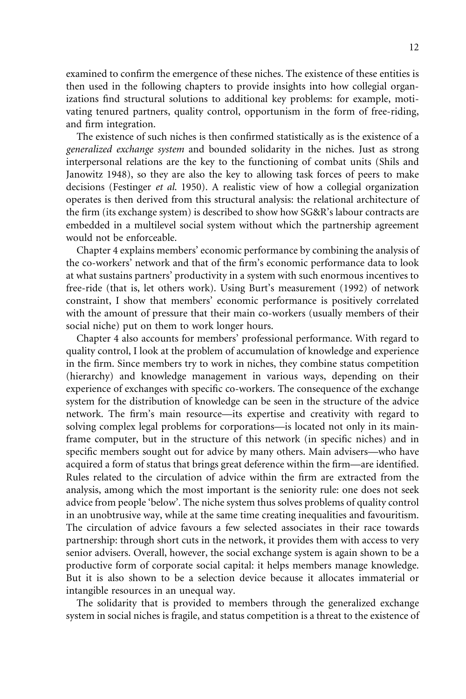examined to confirm the emergence of these niches. The existence of these entities is then used in the following chapters to provide insights into how collegial organizations find structural solutions to additional key problems: for example, motivating tenured partners, quality control, opportunism in the form of free-riding, and firm integration.

The existence of such niches is then confirmed statistically as is the existence of a generalized exchange system and bounded solidarity in the niches. Just as strong interpersonal relations are the key to the functioning of combat units (Shils and Janowitz 1948), so they are also the key to allowing task forces of peers to make decisions (Festinger et al. 1950). A realistic view of how a collegial organization operates is then derived from this structural analysis: the relational architecture of the firm (its exchange system) is described to show how SG&R's labour contracts are embedded in a multilevel social system without which the partnership agreement would not be enforceable.

Chapter 4 explains members' economic performance by combining the analysis of the co-workers' network and that of the firm's economic performance data to look at what sustains partners' productivity in a system with such enormous incentives to free-ride (that is, let others work). Using Burt's measurement (1992) of network constraint, I show that members' economic performance is positively correlated with the amount of pressure that their main co-workers (usually members of their social niche) put on them to work longer hours.

Chapter 4 also accounts for members' professional performance. With regard to quality control, I look at the problem of accumulation of knowledge and experience in the firm. Since members try to work in niches, they combine status competition (hierarchy) and knowledge management in various ways, depending on their experience of exchanges with specific co-workers. The consequence of the exchange system for the distribution of knowledge can be seen in the structure of the advice network. The firm's main resource—its expertise and creativity with regard to solving complex legal problems for corporations—is located not only in its mainframe computer, but in the structure of this network (in specific niches) and in specific members sought out for advice by many others. Main advisers—who have acquired a form of status that brings great deference within the firm—are identified. Rules related to the circulation of advice within the firm are extracted from the analysis, among which the most important is the seniority rule: one does not seek advice from people `below'. The niche system thus solves problems of quality control in an unobtrusive way, while at the same time creating inequalities and favouritism. The circulation of advice favours a few selected associates in their race towards partnership: through short cuts in the network, it provides them with access to very senior advisers. Overall, however, the social exchange system is again shown to be a productive form of corporate social capital: it helps members manage knowledge. But it is also shown to be a selection device because it allocates immaterial or intangible resources in an unequal way.

The solidarity that is provided to members through the generalized exchange system in social niches is fragile, and status competition is a threat to the existence of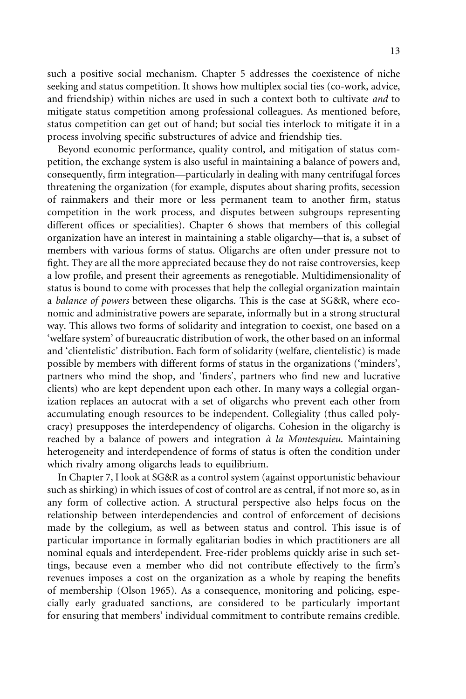such a positive social mechanism. Chapter 5 addresses the coexistence of niche seeking and status competition. It shows how multiplex social ties (co-work, advice, and friendship) within niches are used in such a context both to cultivate and to mitigate status competition among professional colleagues. As mentioned before, status competition can get out of hand; but social ties interlock to mitigate it in a process involving specific substructures of advice and friendship ties.

Beyond economic performance, quality control, and mitigation of status competition, the exchange system is also useful in maintaining a balance of powers and, consequently, firm integration—particularly in dealing with many centrifugal forces threatening the organization (for example, disputes about sharing profits, secession of rainmakers and their more or less permanent team to another firm, status competition in the work process, and disputes between subgroups representing different offices or specialities). Chapter 6 shows that members of this collegial organization have an interest in maintaining a stable oligarchy—that is, a subset of members with various forms of status. Oligarchs are often under pressure not to fight. They are all the more appreciated because they do not raise controversies, keep a low profile, and present their agreements as renegotiable. Multidimensionality of status is bound to come with processes that help the collegial organization maintain a balance of powers between these oligarchs. This is the case at SG&R, where economic and administrative powers are separate, informally but in a strong structural way. This allows two forms of solidarity and integration to coexist, one based on a `welfare system' of bureaucratic distribution of work, the other based on an informal and `clientelistic' distribution. Each form of solidarity (welfare, clientelistic) is made possible by members with different forms of status in the organizations (`minders', partners who mind the shop, and 'finders', partners who find new and lucrative clients) who are kept dependent upon each other. In many ways a collegial organization replaces an autocrat with a set of oligarchs who prevent each other from accumulating enough resources to be independent. Collegiality (thus called polycracy) presupposes the interdependency of oligarchs. Cohesion in the oligarchy is reached by a balance of powers and integration  $\dot{a}$  la Montesquieu. Maintaining heterogeneity and interdependence of forms of status is often the condition under which rivalry among oligarchs leads to equilibrium.

In Chapter 7, I look at SG&R as a control system (against opportunistic behaviour such as shirking) in which issues of cost of control are as central, if not more so, as in any form of collective action. A structural perspective also helps focus on the relationship between interdependencies and control of enforcement of decisions made by the collegium, as well as between status and control. This issue is of particular importance in formally egalitarian bodies in which practitioners are all nominal equals and interdependent. Free-rider problems quickly arise in such settings, because even a member who did not contribute effectively to the firm's revenues imposes a cost on the organization as a whole by reaping the benefits of membership (Olson 1965). As a consequence, monitoring and policing, especially early graduated sanctions, are considered to be particularly important for ensuring that members' individual commitment to contribute remains credible.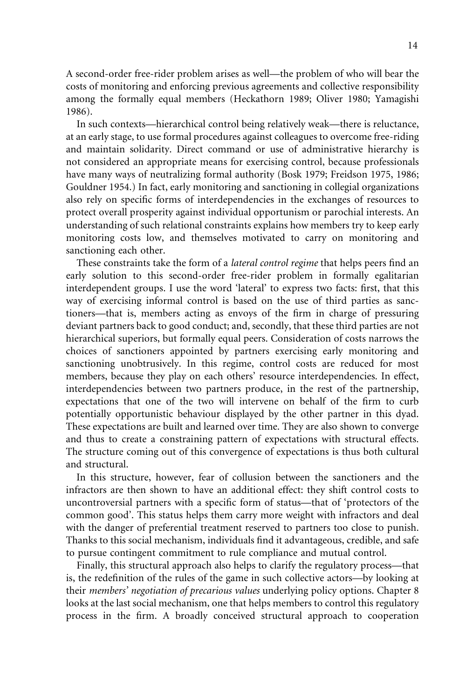A second-order free-rider problem arises as well—the problem of who will bear the costs of monitoring and enforcing previous agreements and collective responsibility among the formally equal members (Heckathorn 1989; Oliver 1980; Yamagishi 1986).

In such contexts—hierarchical control being relatively weak—there is reluctance, at an early stage, to use formal procedures against colleagues to overcome free-riding and maintain solidarity. Direct command or use of administrative hierarchy is not considered an appropriate means for exercising control, because professionals have many ways of neutralizing formal authority (Bosk 1979; Freidson 1975, 1986; Gouldner 1954.) In fact, early monitoring and sanctioning in collegial organizations also rely on specific forms of interdependencies in the exchanges of resources to protect overall prosperity against individual opportunism or parochial interests. An understanding of such relational constraints explains how members try to keep early monitoring costs low, and themselves motivated to carry on monitoring and sanctioning each other.

These constraints take the form of a *lateral control regime* that helps peers find an early solution to this second-order free-rider problem in formally egalitarian interdependent groups. I use the word 'lateral' to express two facts: first, that this way of exercising informal control is based on the use of third parties as sanctioners—that is, members acting as envoys of the firm in charge of pressuring deviant partners back to good conduct; and, secondly, that these third parties are not hierarchical superiors, but formally equal peers. Consideration of costs narrows the choices of sanctioners appointed by partners exercising early monitoring and sanctioning unobtrusively. In this regime, control costs are reduced for most members, because they play on each others' resource interdependencies. In effect, interdependencies between two partners produce, in the rest of the partnership, expectations that one of the two will intervene on behalf of the firm to curb potentially opportunistic behaviour displayed by the other partner in this dyad. These expectations are built and learned over time. They are also shown to converge and thus to create a constraining pattern of expectations with structural effects. The structure coming out of this convergence of expectations is thus both cultural and structural.

In this structure, however, fear of collusion between the sanctioners and the infractors are then shown to have an additional effect: they shift control costs to uncontroversial partners with a specific form of status—that of 'protectors of the common good'. This status helps them carry more weight with infractors and deal with the danger of preferential treatment reserved to partners too close to punish. Thanks to this social mechanism, individuals find it advantageous, credible, and safe to pursue contingent commitment to rule compliance and mutual control.

Finally, this structural approach also helps to clarify the regulatory process—that is, the redefinition of the rules of the game in such collective actors—by looking at their members' negotiation of precarious values underlying policy options. Chapter 8 looks at the last social mechanism, one that helps members to control this regulatory process in the firm. A broadly conceived structural approach to cooperation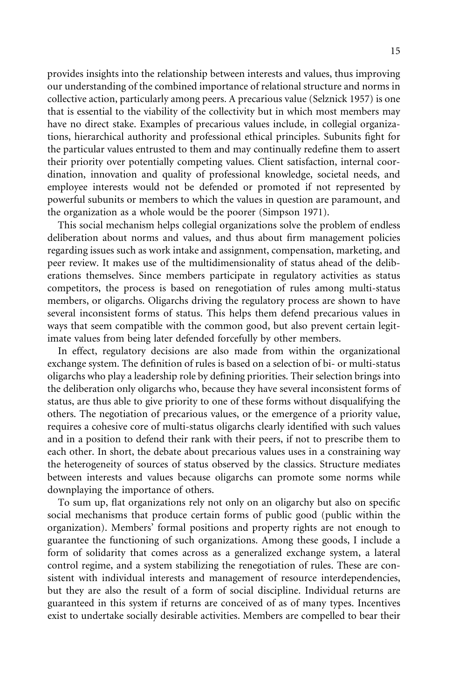provides insights into the relationship between interests and values, thus improving our understanding of the combined importance of relational structure and norms in collective action, particularly among peers. A precarious value (Selznick 1957) is one that is essential to the viability of the collectivity but in which most members may have no direct stake. Examples of precarious values include, in collegial organizations, hierarchical authority and professional ethical principles. Subunits fight for the particular values entrusted to them and may continually redefine them to assert their priority over potentially competing values. Client satisfaction, internal coordination, innovation and quality of professional knowledge, societal needs, and employee interests would not be defended or promoted if not represented by powerful subunits or members to which the values in question are paramount, and the organization as a whole would be the poorer (Simpson 1971).

This social mechanism helps collegial organizations solve the problem of endless deliberation about norms and values, and thus about firm management policies regarding issues such as work intake and assignment, compensation, marketing, and peer review. It makes use of the multidimensionality of status ahead of the deliberations themselves. Since members participate in regulatory activities as status competitors, the process is based on renegotiation of rules among multi-status members, or oligarchs. Oligarchs driving the regulatory process are shown to have several inconsistent forms of status. This helps them defend precarious values in ways that seem compatible with the common good, but also prevent certain legitimate values from being later defended forcefully by other members.

In effect, regulatory decisions are also made from within the organizational exchange system. The definition of rules is based on a selection of bi- or multi-status oligarchs who play a leadership role by defining priorities. Their selection brings into the deliberation only oligarchs who, because they have several inconsistent forms of status, are thus able to give priority to one of these forms without disqualifying the others. The negotiation of precarious values, or the emergence of a priority value, requires a cohesive core of multi-status oligarchs clearly identified with such values and in a position to defend their rank with their peers, if not to prescribe them to each other. In short, the debate about precarious values uses in a constraining way the heterogeneity of sources of status observed by the classics. Structure mediates between interests and values because oligarchs can promote some norms while downplaying the importance of others.

To sum up, flat organizations rely not only on an oligarchy but also on specific social mechanisms that produce certain forms of public good (public within the organization). Members' formal positions and property rights are not enough to guarantee the functioning of such organizations. Among these goods, I include a form of solidarity that comes across as a generalized exchange system, a lateral control regime, and a system stabilizing the renegotiation of rules. These are consistent with individual interests and management of resource interdependencies, but they are also the result of a form of social discipline. Individual returns are guaranteed in this system if returns are conceived of as of many types. Incentives exist to undertake socially desirable activities. Members are compelled to bear their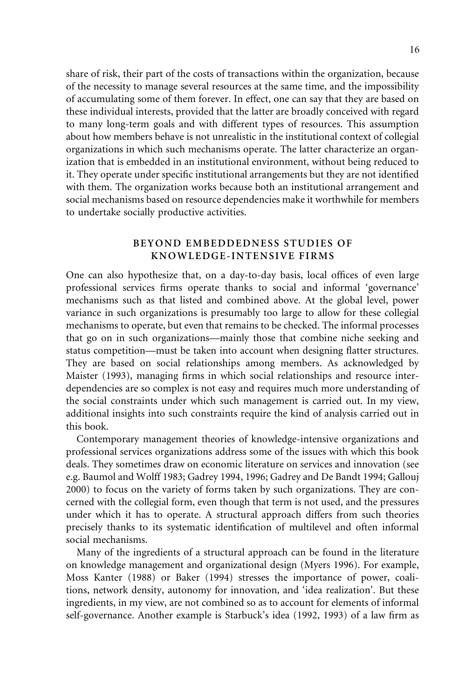share of risk, their part of the costs of transactions within the organization, because of the necessity to manage several resources at the same time, and the impossibility of accumulating some of them forever. In effect, one can say that they are based on these individual interests, provided that the latter are broadly conceived with regard to many long-term goals and with different types of resources. This assumption about how members behave is not unrealistic in the institutional context of collegial organizations in which such mechanisms operate. The latter characterize an organization that is embedded in an institutional environment, without being reduced to it. They operate under specific institutional arrangements but they are not identified with them. The organization works because both an institutional arrangement and social mechanisms based on resource dependencies make it worthwhile for members to undertake socially productive activities.

### BEYOND EMBEDDEDNESS STUDIES OF KNOW LEDGE - INT ENS IVE F IRMS

One can also hypothesize that, on a day-to-day basis, local offices of even large professional services firms operate thanks to social and informal 'governance' mechanisms such as that listed and combined above. At the global level, power variance in such organizations is presumably too large to allow for these collegial mechanisms to operate, but even that remains to be checked. The informal processes that go on in such organizations—mainly those that combine niche seeking and status competition—must be taken into account when designing flatter structures. They are based on social relationships among members. As acknowledged by Maister (1993), managing firms in which social relationships and resource interdependencies are so complex is not easy and requires much more understanding of the social constraints under which such management is carried out. In my view, additional insights into such constraints require the kind of analysis carried out in this book.

Contemporary management theories of knowledge-intensive organizations and professional services organizations address some of the issues with which this book deals. They sometimes draw on economic literature on services and innovation (see e.g. Baumol and Wolff 1983; Gadrey 1994, 1996; Gadrey and De Bandt 1994; Gallouj 2000) to focus on the variety of forms taken by such organizations. They are concerned with the collegial form, even though that term is not used, and the pressures under which it has to operate. A structural approach differs from such theories precisely thanks to its systematic identification of multilevel and often informal social mechanisms.

Many of the ingredients of a structural approach can be found in the literature on knowledge management and organizational design (Myers 1996). For example, Moss Kanter (1988) or Baker (1994) stresses the importance of power, coalitions, network density, autonomy for innovation, and `idea realization'. But these ingredients, in my view, are not combined so as to account for elements of informal self-governance. Another example is Starbuck's idea (1992, 1993) of a law firm as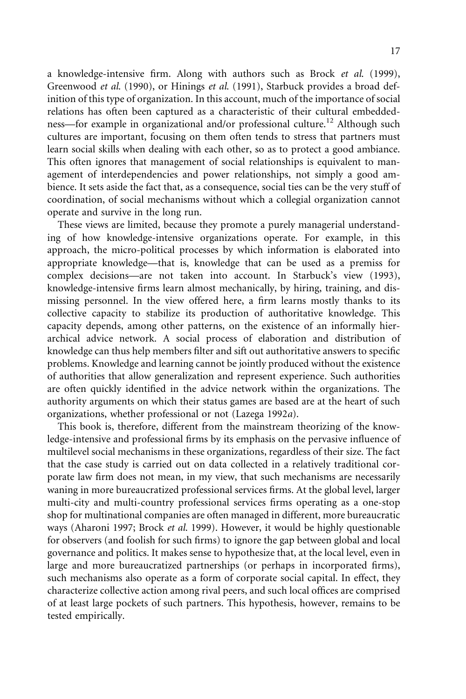a knowledge-intensive firm. Along with authors such as Brock et al. (1999), Greenwood et al. (1990), or Hinings et al. (1991), Starbuck provides a broad definition of this type of organization. In this account, much of the importance of social relations has often been captured as a characteristic of their cultural embeddedness—for example in organizational and/or professional culture.<sup>12</sup> Although such cultures are important, focusing on them often tends to stress that partners must learn social skills when dealing with each other, so as to protect a good ambiance. This often ignores that management of social relationships is equivalent to management of interdependencies and power relationships, not simply a good ambience. It sets aside the fact that, as a consequence, social ties can be the very stuff of coordination, of social mechanisms without which a collegial organization cannot operate and survive in the long run.

These views are limited, because they promote a purely managerial understanding of how knowledge-intensive organizations operate. For example, in this approach, the micro-political processes by which information is elaborated into appropriate knowledge—that is, knowledge that can be used as a premiss for complex decisions—are not taken into account. In Starbuck's view (1993), knowledge-intensive firms learn almost mechanically, by hiring, training, and dismissing personnel. In the view offered here, a firm learns mostly thanks to its collective capacity to stabilize its production of authoritative knowledge. This capacity depends, among other patterns, on the existence of an informally hierarchical advice network. A social process of elaboration and distribution of knowledge can thus help members filter and sift out authoritative answers to specific problems. Knowledge and learning cannot be jointly produced without the existence of authorities that allow generalization and represent experience. Such authorities are often quickly identified in the advice network within the organizations. The authority arguments on which their status games are based are at the heart of such organizations, whether professional or not (Lazega 1992a).

This book is, therefore, different from the mainstream theorizing of the knowledge-intensive and professional firms by its emphasis on the pervasive influence of multilevel social mechanisms in these organizations, regardless of their size. The fact that the case study is carried out on data collected in a relatively traditional corporate law firm does not mean, in my view, that such mechanisms are necessarily waning in more bureaucratized professional services firms. At the global level, larger multi-city and multi-country professional services firms operating as a one-stop shop for multinational companies are often managed in different, more bureaucratic ways (Aharoni 1997; Brock et al. 1999). However, it would be highly questionable for observers (and foolish for such firms) to ignore the gap between global and local governance and politics. It makes sense to hypothesize that, at the local level, even in large and more bureaucratized partnerships (or perhaps in incorporated firms), such mechanisms also operate as a form of corporate social capital. In effect, they characterize collective action among rival peers, and such local offices are comprised of at least large pockets of such partners. This hypothesis, however, remains to be tested empirically.